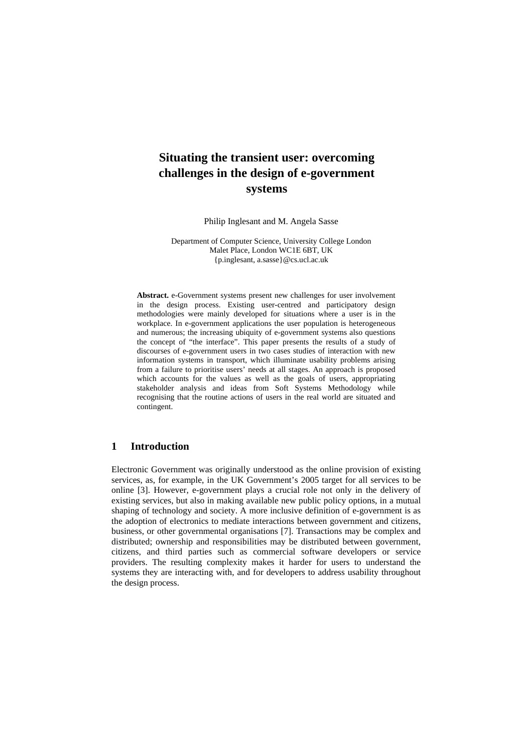# **Situating the transient user: overcoming challenges in the design of e-government systems**

Philip Inglesant and M. Angela Sasse

Department of Computer Science, University College London Malet Place, London WC1E 6BT, UK {p.inglesant, a.sasse}@cs.ucl.ac.uk

**Abstract.** e-Government systems present new challenges for user involvement in the design process. Existing user-centred and participatory design methodologies were mainly developed for situations where a user is in the workplace. In e-government applications the user population is heterogeneous and numerous; the increasing ubiquity of e-government systems also questions the concept of "the interface". This paper presents the results of a study of discourses of e-government users in two cases studies of interaction with new information systems in transport, which illuminate usability problems arising from a failure to prioritise users' needs at all stages. An approach is proposed which accounts for the values as well as the goals of users, appropriating stakeholder analysis and ideas from Soft Systems Methodology while recognising that the routine actions of users in the real world are situated and contingent.

# **1 Introduction**

Electronic Government was originally understood as the online provision of existing services, as, for example, in the UK Government's 2005 target for all services to be online [3]. However, e-government plays a crucial role not only in the delivery of existing services, but also in making available new public policy options, in a mutual shaping of technology and society. A more inclusive definition of e-government is as the adoption of electronics to mediate interactions between government and citizens, business, or other governmental organisations [7]. Transactions may be complex and distributed; ownership and responsibilities may be distributed between government, citizens, and third parties such as commercial software developers or service providers. The resulting complexity makes it harder for users to understand the systems they are interacting with, and for developers to address usability throughout the design process.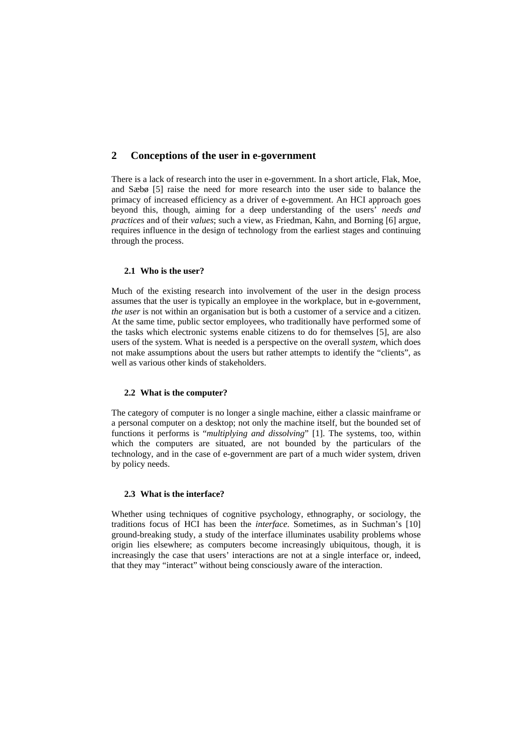# **2 Conceptions of the user in e-government**

There is a lack of research into the user in e-government. In a short article, Flak, Moe, and Sæbø [5] raise the need for more research into the user side to balance the primacy of increased efficiency as a driver of e-government. An HCI approach goes beyond this, though, aiming for a deep understanding of the users' *needs and practices* and of their *values*; such a view, as Friedman, Kahn, and Borning [6] argue, requires influence in the design of technology from the earliest stages and continuing through the process.

## **2.1 Who is the user?**

Much of the existing research into involvement of the user in the design process assumes that the user is typically an employee in the workplace, but in e-government, *the user* is not within an organisation but is both a customer of a service and a citizen. At the same time, public sector employees, who traditionally have performed some of the tasks which electronic systems enable citizens to do for themselves [5], are also users of the system. What is needed is a perspective on the overall *system*, which does not make assumptions about the users but rather attempts to identify the "clients", as well as various other kinds of stakeholders.

### **2.2 What is the computer?**

The category of computer is no longer a single machine, either a classic mainframe or a personal computer on a desktop; not only the machine itself, but the bounded set of functions it performs is "*multiplying and dissolving*" [1]. The systems, too, within which the computers are situated, are not bounded by the particulars of the technology, and in the case of e-government are part of a much wider system, driven by policy needs.

### **2.3 What is the interface?**

Whether using techniques of cognitive psychology, ethnography, or sociology, the traditions focus of HCI has been the *interface*. Sometimes, as in Suchman's [10] ground-breaking study, a study of the interface illuminates usability problems whose origin lies elsewhere; as computers become increasingly ubiquitous, though, it is increasingly the case that users' interactions are not at a single interface or, indeed, that they may "interact" without being consciously aware of the interaction.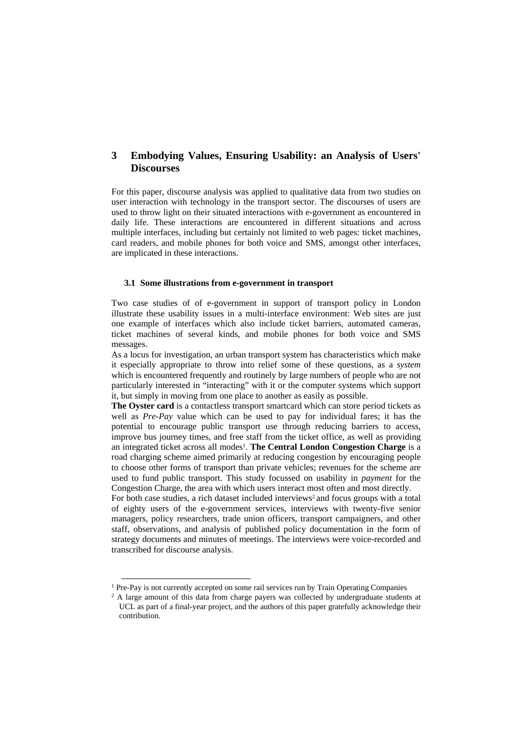# **3 Embodying Values, Ensuring Usability: an Analysis of Users' Discourses**

For this paper, discourse analysis was applied to qualitative data from two studies on user interaction with technology in the transport sector. The discourses of users are used to throw light on their situated interactions with e-government as encountered in daily life. These interactions are encountered in different situations and across multiple interfaces, including but certainly not limited to web pages: ticket machines, card readers, and mobile phones for both voice and SMS, amongst other interfaces, are implicated in these interactions.

#### **3.1 Some illustrations from e-government in transport**

Two case studies of of e-government in support of transport policy in London illustrate these usability issues in a multi-interface environment: Web sites are just one example of interfaces which also include ticket barriers, automated cameras, ticket machines of several kinds, and mobile phones for both voice and SMS messages.

As a locus for investigation, an urban transport system has characteristics which make it especially appropriate to throw into relief some of these questions, as a *system* which is encountered frequently and routinely by large numbers of people who are not particularly interested in "interacting" with it or the computer systems which support it, but simply in moving from one place to another as easily as possible.

**The Oyster card** is a contactless transport smartcard which can store period tickets as well as *Pre-Pay* value which can be used to pay for individual fares; it has the potential to encourage public transport use through reducing barriers to access, improve bus journey times, and free staff from the ticket office, as well as providing an integrated ticket across all modes<sup>1</sup>. The Central London Congestion Charge is a road charging scheme aimed primarily at reducing congestion by encouraging people to choose other forms of transport than private vehicles; revenues for the scheme are used to fund public transport. This study focussed on usability in *payment* for the Congestion Charge, the area with which users interact most often and most directly.

For both case studies, a rich dataset included interviews<sup>2</sup> and focus groups with a total of eighty users of the e-government services, interviews with twenty-five senior managers, policy researchers, trade union officers, transport campaigners, and other staff, observations, and analysis of published policy documentation in the form of strategy documents and minutes of meetings. The interviews were voice-recorded and transcribed for discourse analysis.

<sup>&</sup>lt;sup>1</sup> Pre-Pay is not currently accepted on some rail services run by Train Operating Companies

<sup>&</sup>lt;sup>2</sup> A large amount of this data from charge payers was collected by undergraduate students at UCL as part of a final-year project, and the authors of this paper gratefully acknowledge their contribution.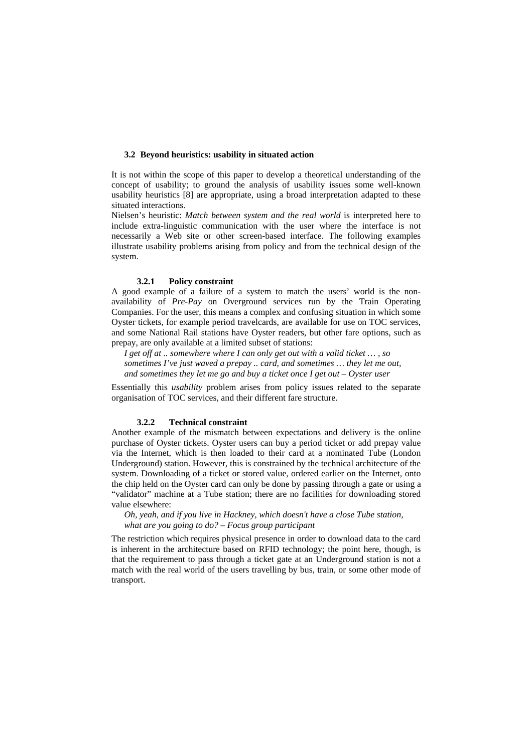#### **3.2 Beyond heuristics: usability in situated action**

It is not within the scope of this paper to develop a theoretical understanding of the concept of usability; to ground the analysis of usability issues some well-known usability heuristics [8] are appropriate, using a broad interpretation adapted to these situated interactions.

Nielsen's heuristic: *Match between system and the real world* is interpreted here to include extra-linguistic communication with the user where the interface is not necessarily a Web site or other screen-based interface. The following examples illustrate usability problems arising from policy and from the technical design of the system.

## **3.2.1 Policy constraint**

A good example of a failure of a system to match the users' world is the nonavailability of *Pre-Pay* on Overground services run by the Train Operating Companies. For the user, this means a complex and confusing situation in which some Oyster tickets, for example period travelcards, are available for use on TOC services, and some National Rail stations have Oyster readers, but other fare options, such as prepay, are only available at a limited subset of stations:

*I get off at .. somewhere where I can only get out with a valid ticket … , so sometimes I've just waved a prepay .. card, and sometimes … they let me out, and sometimes they let me go and buy a ticket once I get out – Oyster user* 

Essentially this *usability* problem arises from policy issues related to the separate organisation of TOC services, and their different fare structure.

## **3.2.2 Technical constraint**

Another example of the mismatch between expectations and delivery is the online purchase of Oyster tickets. Oyster users can buy a period ticket or add prepay value via the Internet, which is then loaded to their card at a nominated Tube (London Underground) station. However, this is constrained by the technical architecture of the system. Downloading of a ticket or stored value, ordered earlier on the Internet, onto the chip held on the Oyster card can only be done by passing through a gate or using a "validator" machine at a Tube station; there are no facilities for downloading stored value elsewhere:

*Oh, yeah, and if you live in Hackney, which doesn't have a close Tube station, what are you going to do? – Focus group participant* 

The restriction which requires physical presence in order to download data to the card is inherent in the architecture based on RFID technology; the point here, though, is that the requirement to pass through a ticket gate at an Underground station is not a match with the real world of the users travelling by bus, train, or some other mode of transport.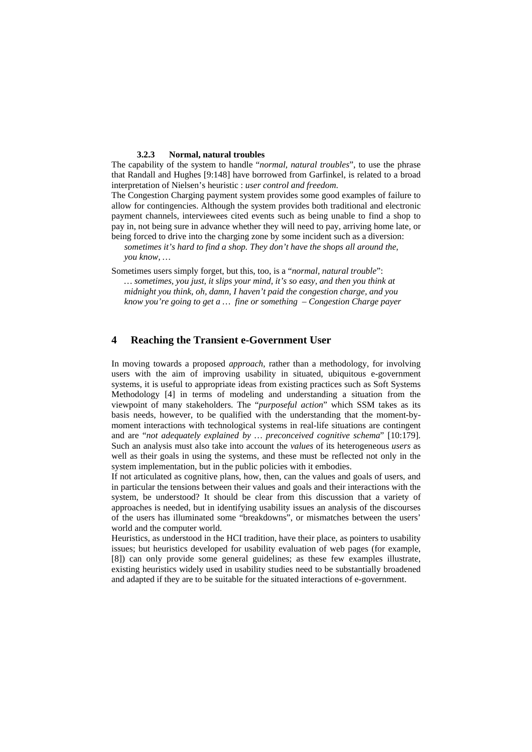# **3.2.3 Normal, natural troubles**

The capability of the system to handle "*normal, natural troubles*", to use the phrase that Randall and Hughes [9:148] have borrowed from Garfinkel, is related to a broad interpretation of Nielsen's heuristic : *user control and freedom*.

The Congestion Charging payment system provides some good examples of failure to allow for contingencies. Although the system provides both traditional and electronic payment channels, interviewees cited events such as being unable to find a shop to pay in, not being sure in advance whether they will need to pay, arriving home late, or being forced to drive into the charging zone by some incident such as a diversion:

*sometimes it's hard to find a shop. They don't have the shops all around the, you know, …* 

Sometimes users simply forget, but this, too, is a "*normal, natural trouble*": *… sometimes, you just, it slips your mind, it's so easy, and then you think at midnight you think, oh, damn, I haven't paid the congestion charge, and you know you're going to get a … fine or something – Congestion Charge payer* 

# **4 Reaching the Transient e-Government User**

In moving towards a proposed *approach*, rather than a methodology, for involving users with the aim of improving usability in situated, ubiquitous e-government systems, it is useful to appropriate ideas from existing practices such as Soft Systems Methodology [4] in terms of modeling and understanding a situation from the viewpoint of many stakeholders. The "*purposeful action*" which SSM takes as its basis needs, however, to be qualified with the understanding that the moment-bymoment interactions with technological systems in real-life situations are contingent and are "*not adequately explained by … preconceived cognitive schema*" [10:179]. Such an analysis must also take into account the *values* of its heterogeneous *users* as well as their goals in using the systems, and these must be reflected not only in the system implementation, but in the public policies with it embodies.

If not articulated as cognitive plans, how, then, can the values and goals of users, and in particular the tensions between their values and goals and their interactions with the system, be understood? It should be clear from this discussion that a variety of approaches is needed, but in identifying usability issues an analysis of the discourses of the users has illuminated some "breakdowns", or mismatches between the users' world and the computer world.

Heuristics, as understood in the HCI tradition, have their place, as pointers to usability issues; but heuristics developed for usability evaluation of web pages (for example, [8]) can only provide some general guidelines; as these few examples illustrate, existing heuristics widely used in usability studies need to be substantially broadened and adapted if they are to be suitable for the situated interactions of e-government.